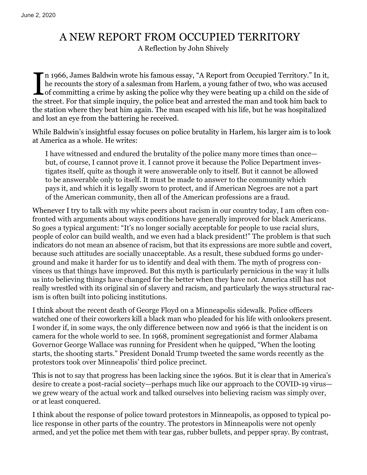## A NEW REPORT FROM OCCUPIED TERRITORY

A Reflection by John Shively

I n 1966, James Baldwin wrote his famous essay, ["A Report from Occupied Territory.](https://www.thenation.com/article/archive/report-occupied-territory/)" In it, he recounts the story of a salesman from Harlem, a young father of two, who was accused of committing a crime by asking the police why they were beating up a child on the side of the street. For that simple inquiry, the police beat and arrested the man and took him back to the station where they beat him again. The man escaped with his life, but he was hospitalized and lost an eye from the battering he received.

While Baldwin's insightful essay focuses on police brutality in Harlem, his larger aim is to look at America as a whole. He writes:

I have witnessed and endured the brutality of the police many more times than once but, of course, I cannot prove it. I cannot prove it because the Police Department investigates itself, quite as though it were answerable only to itself. But it cannot be allowed to be answerable only to itself. It must be made to answer to the community which pays it, and which it is legally sworn to protect, and if American Negroes are not a part of the American community, then all of the American professions are a fraud.

Whenever I try to talk with my white peers about racism in our country today, I am often confronted with arguments about ways conditions have generally improved for black Americans. So goes a typical argument: "It's no longer socially acceptable for people to use racial slurs, people of color can build wealth, and we even had a black president!" The problem is that such indicators do not mean an absence of racism, but that its expressions are more subtle and covert, because such attitudes are socially unacceptable. As a result, these subdued forms go underground and make it harder for us to identify and deal with them. The myth of progress convinces us that things have improved. But this myth is particularly pernicious in the way it lulls us into believing things have changed for the better when they have not. America still has not really wrestled with its original sin of slavery and racism, and particularly the ways structural racism is often built into policing institutions.

I think about the recent death of George Floyd on a Minneapolis sidewalk. Police officers watched one of their coworkers kill a black man who pleaded for his life with onlookers present. I wonder if, in some ways, the only difference between now and 1966 is that the incident is on camera for the whole world to see. In 1968, prominent segregationist and former Alabama Governor George Wallace was running for President when he quipped, "When the looting starts, the shooting starts." President Donald Trump tweeted the same words recently as the protestors took over Minneapolis' third police precinct.

This is not to say that progress has been lacking since the 1960s. But it is clear that in America's desire to create a post-racial society—perhaps much like our approach to the COVID-19 virus we grew weary of the actual work and talked ourselves into believing racism was simply over, or at least conquered.

I think about the response of police toward protestors in Minneapolis, as opposed to typical police response in other parts of the country. The protestors in Minneapolis were not openly armed, and yet the police met them with tear gas, rubber bullets, and pepper spray. By contrast,